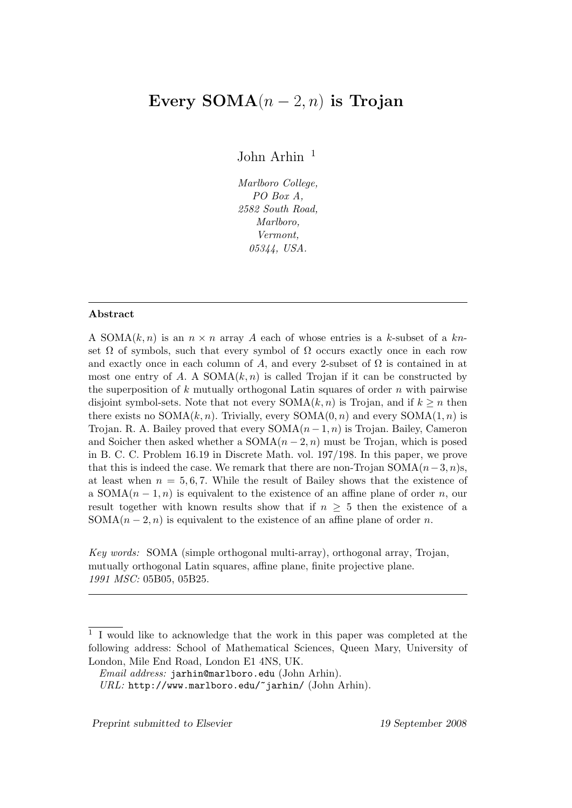# Every  $SOMA(n-2, n)$  is Trojan

John Arhin  $1$ 

Marlboro College, PO Box A, 2582 South Road, Marlboro, Vermont, 05344, USA.

#### Abstract

A SOMA $(k, n)$  is an  $n \times n$  array A each of whose entries is a k-subset of a knset  $\Omega$  of symbols, such that every symbol of  $\Omega$  occurs exactly once in each row and exactly once in each column of A, and every 2-subset of  $\Omega$  is contained in at most one entry of A. A  $SOMA(k, n)$  is called Trojan if it can be constructed by the superposition of  $k$  mutually orthogonal Latin squares of order  $n$  with pairwise disjoint symbol-sets. Note that not every  $SOMA(k, n)$  is Trojan, and if  $k \geq n$  then there exists no  $SOMA(k, n)$ . Trivially, every  $SOMA(0, n)$  and every  $SOMA(1, n)$  is Trojan. R. A. Bailey proved that every  $SOMA(n-1, n)$  is Trojan. Bailey, Cameron and Soicher then asked whether a  $SOMA(n-2, n)$  must be Trojan, which is posed in B. C. C. Problem 16.19 in Discrete Math. vol. 197/198. In this paper, we prove that this is indeed the case. We remark that there are non-Trojan SOMA $(n-3, n)s$ , at least when  $n = 5, 6, 7$ . While the result of Bailey shows that the existence of a SOMA $(n-1, n)$  is equivalent to the existence of an affine plane of order n, our result together with known results show that if  $n \geq 5$  then the existence of a SOMA $(n-2, n)$  is equivalent to the existence of an affine plane of order n.

Key words: SOMA (simple orthogonal multi-array), orthogonal array, Trojan, mutually orthogonal Latin squares, affine plane, finite projective plane. 1991 MSC: 05B05, 05B25.

Preprint submitted to Elsevier 19 September 2008

<sup>1</sup> I would like to acknowledge that the work in this paper was completed at the following address: School of Mathematical Sciences, Queen Mary, University of London, Mile End Road, London E1 4NS, UK.

Email address: jarhin@marlboro.edu (John Arhin).

URL: http://www.marlboro.edu/~jarhin/ (John Arhin).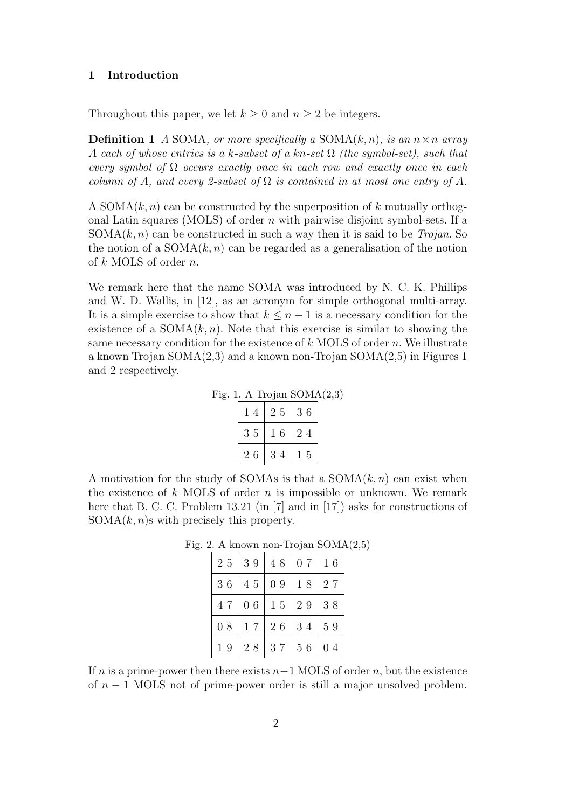## 1 Introduction

Throughout this paper, we let  $k \geq 0$  and  $n \geq 2$  be integers.

**Definition 1** A SOMA, or more specifically a SOMA $(k, n)$ , is an  $n \times n$  array A each of whose entries is a k-subset of a kn-set  $\Omega$  (the symbol-set), such that every symbol of  $\Omega$  occurs exactly once in each row and exactly once in each column of A, and every 2-subset of  $\Omega$  is contained in at most one entry of A.

A SOMA $(k, n)$  can be constructed by the superposition of k mutually orthogonal Latin squares (MOLS) of order  $n$  with pairwise disjoint symbol-sets. If a  $SOMA(k, n)$  can be constructed in such a way then it is said to be *Trojan*. So the notion of a  $SOMA(k, n)$  can be regarded as a generalisation of the notion of k MOLS of order n.

We remark here that the name SOMA was introduced by N. C. K. Phillips and W. D. Wallis, in [12], as an acronym for simple orthogonal multi-array. It is a simple exercise to show that  $k \leq n-1$  is a necessary condition for the existence of a  $SOMA(k, n)$ . Note that this exercise is similar to showing the same necessary condition for the existence of  $k$  MOLS of order n. We illustrate a known Trojan  $SOMA(2,3)$  and a known non-Trojan  $SOMA(2,5)$  in Figures 1 and 2 respectively.

Fig. 1. A Trojan  $SOMA(2,3)$ 

| 14 | 25 | 36 |
|----|----|----|
| 35 | 16 | 24 |
| 26 | 34 | 15 |

A motivation for the study of SOMAs is that a  $SOMA(k, n)$  can exist when the existence of  $k$  MOLS of order  $n$  is impossible or unknown. We remark here that B. C. C. Problem 13.21 (in [7] and in [17]) asks for constructions of  $SOMA(k, n)$ s with precisely this property.

| $2\ 5$ | 39     | 48 | 0 7 | 16 |
|--------|--------|----|-----|----|
| 36     | 45     | 09 | 18  | 27 |
| 47     | 06     | 15 | 29  | 38 |
| 08     | 17     | 26 | 34  | 59 |
| 19     | $2\ 8$ | 37 | 56  | 04 |

Fig. 2. A known non-Trojan SOMA(2,5)

If n is a prime-power then there exists  $n-1$  MOLS of order n, but the existence of  $n-1$  MOLS not of prime-power order is still a major unsolved problem.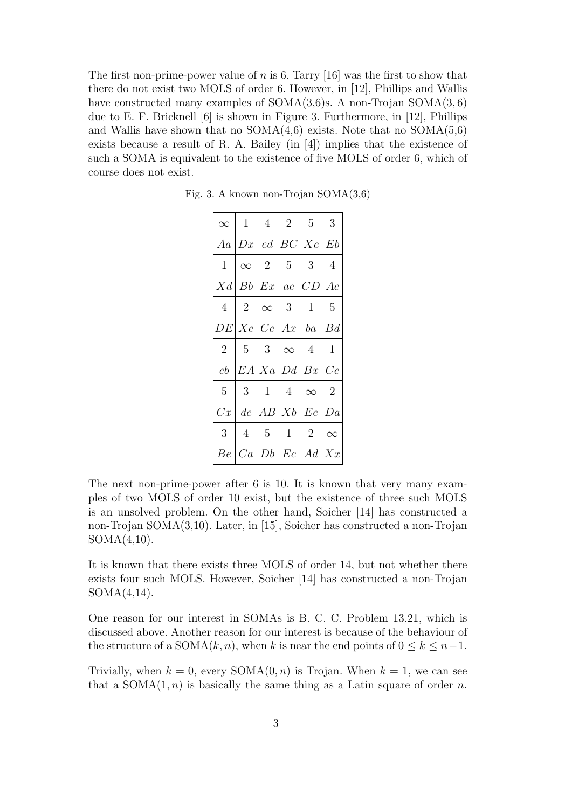The first non-prime-power value of  $n$  is 6. Tarry [16] was the first to show that there do not exist two MOLS of order 6. However, in [12], Phillips and Wallis have constructed many examples of  $SOMA(3,6)$ s. A non-Trojan  $SOMA(3,6)$ due to E. F. Bricknell [6] is shown in Figure 3. Furthermore, in [12], Phillips and Wallis have shown that no  $SOMA(4,6)$  exists. Note that no  $SOMA(5,6)$ exists because a result of R. A. Bailey (in [4]) implies that the existence of such a SOMA is equivalent to the existence of five MOLS of order 6, which of course does not exist.

| $\infty$       |                | $1 \mid 4 \mid 2$ |                               | 5 <sup>5</sup>                           | 3              |
|----------------|----------------|-------------------|-------------------------------|------------------------------------------|----------------|
|                |                |                   |                               | Aa  Dx  ed  BC Xc  Eb                    |                |
| 1              |                |                   | $\infty$   2   5   3          |                                          | $\overline{4}$ |
|                |                |                   |                               | $Xd Bb Ex $ ae $ CD $ Ac                 |                |
| $\overline{4}$ |                |                   | $2 \mid \infty \mid 3 \mid 1$ |                                          | - 5            |
|                |                |                   |                               | DE[Xe Cc Ax ba Bd                        |                |
| $\overline{2}$ |                |                   |                               | $5 \mid 3 \mid \infty \mid 4 \mid$       | $\mathbf{1}$   |
| cb             |                |                   |                               | EA Xa Dd Bx Ce                           |                |
| 5              | 3 <sup>7</sup> |                   |                               | $1 \mid 4 \mid \infty$                   | $\overline{2}$ |
| Cx             |                |                   |                               | $dc \,  AB  \, Xb \,   \, Ee \,   \, Da$ |                |
| 3              | $\overline{4}$ | 5 <sup>1</sup>    | $\mathbf{1}$                  | 2                                        | $\infty$       |
| Be             |                |                   |                               | Ca Db Ec Ad Xx                           |                |

Fig. 3. A known non-Trojan SOMA(3,6)

The next non-prime-power after 6 is 10. It is known that very many examples of two MOLS of order 10 exist, but the existence of three such MOLS is an unsolved problem. On the other hand, Soicher [14] has constructed a non-Trojan SOMA(3,10). Later, in [15], Soicher has constructed a non-Trojan SOMA(4,10).

It is known that there exists three MOLS of order 14, but not whether there exists four such MOLS. However, Soicher [14] has constructed a non-Trojan SOMA(4,14).

One reason for our interest in SOMAs is B. C. C. Problem 13.21, which is discussed above. Another reason for our interest is because of the behaviour of the structure of a SOMA $(k, n)$ , when k is near the end points of  $0 \le k \le n-1$ .

Trivially, when  $k = 0$ , every  $SOMA(0, n)$  is Trojan. When  $k = 1$ , we can see that a  $SOMA(1, n)$  is basically the same thing as a Latin square of order n.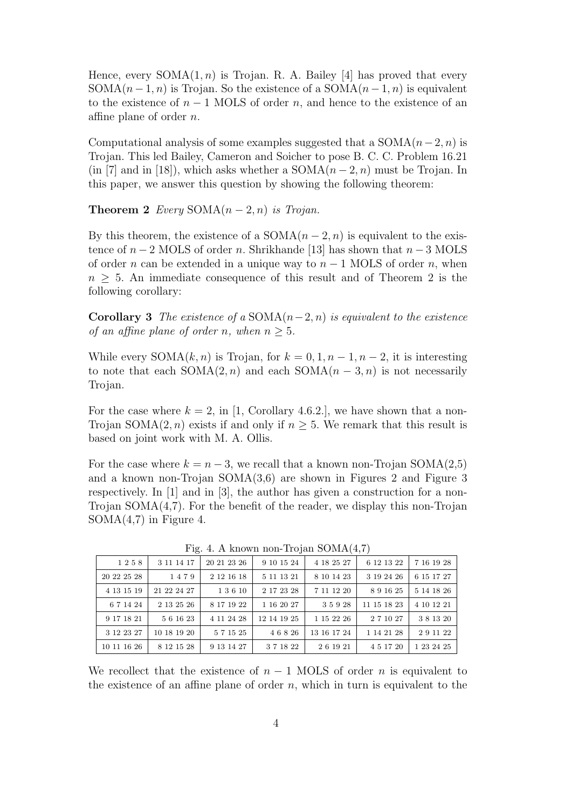Hence, every  $SOMA(1, n)$  is Trojan. R. A. Bailey [4] has proved that every SOMA $(n-1, n)$  is Trojan. So the existence of a SOMA $(n-1, n)$  is equivalent to the existence of  $n-1$  MOLS of order n, and hence to the existence of an affine plane of order  $n$ .

Computational analysis of some examples suggested that a  $SOMA(n-2, n)$  is Trojan. This led Bailey, Cameron and Soicher to pose B. C. C. Problem 16.21 (in [7] and in [18]), which asks whether a  $SOMA(n-2, n)$  must be Trojan. In this paper, we answer this question by showing the following theorem:

**Theorem 2** Every  $SOMA(n-2,n)$  is Trojan.

By this theorem, the existence of a  $SOMA(n-2, n)$  is equivalent to the existence of  $n-2$  MOLS of order n. Shrikhande [13] has shown that  $n-3$  MOLS of order n can be extended in a unique way to  $n-1$  MOLS of order n, when  $n > 5$ . An immediate consequence of this result and of Theorem 2 is the following corollary:

Corollary 3 The existence of a SOMA( $n-2, n$ ) is equivalent to the existence of an affine plane of order n, when  $n > 5$ .

While every  $SOMA(k, n)$  is Trojan, for  $k = 0, 1, n - 1, n - 2$ , it is interesting to note that each  $SOMA(2, n)$  and each  $SOMA(n - 3, n)$  is not necessarily Trojan.

For the case where  $k = 2$ , in [1, Corollary 4.6.2.], we have shown that a non-Trojan SOMA $(2, n)$  exists if and only if  $n \geq 5$ . We remark that this result is based on joint work with M. A. Ollis.

For the case where  $k = n - 3$ , we recall that a known non-Trojan SOMA(2,5) and a known non-Trojan SOMA(3,6) are shown in Figures 2 and Figure 3 respectively. In [1] and in [3], the author has given a construction for a non-Trojan SOMA $(4,7)$ . For the benefit of the reader, we display this non-Trojan  $SOMA(4,7)$  in Figure 4.

| 1258        | 3 11 14 17  | 20 21 23 26 | 9 10 15 24  | 4 18 25 27  | 6 12 13 22  | 7 16 19 28 |
|-------------|-------------|-------------|-------------|-------------|-------------|------------|
| 20 22 25 28 | 1479        | 2 12 16 18  | 5 11 13 21  | 8 10 14 23  | 3 19 24 26  | 6 15 17 27 |
| 4 13 15 19  | 21 22 24 27 | 1 3 6 10    | 2 17 23 28  | 7 11 12 20  | 891625      | 5 14 18 26 |
| 6 7 14 24   | 2 13 25 26  | 8 17 19 22  | 1 16 20 27  | 35928       | 11 15 18 23 | 4 10 12 21 |
| 9 17 18 21  | 561623      | 4 11 24 28  | 12 14 19 25 | 1 15 22 26  | 2 7 10 27   | 381320     |
| 3 12 23 27  | 10 18 19 20 | 571525      | 46826       | 13 16 17 24 | 1 14 21 28  | 291122     |
| 10 11 16 26 | 8 12 15 28  | 9 13 14 27  | 371822      | 26 19 21    | 4 5 17 20   | 1 23 24 25 |

Fig. 4. A known non-Trojan SOMA(4,7)

We recollect that the existence of  $n-1$  MOLS of order n is equivalent to the existence of an affine plane of order  $n$ , which in turn is equivalent to the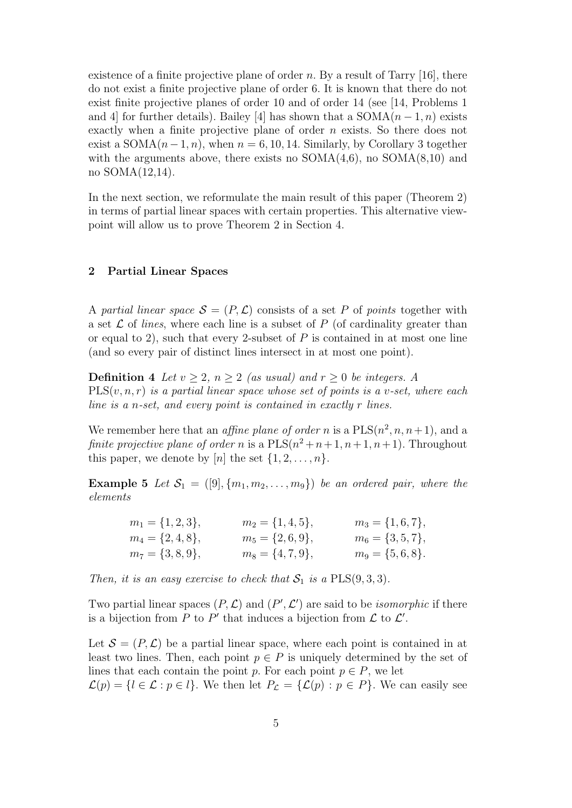existence of a finite projective plane of order  $n$ . By a result of Tarry [16], there do not exist a finite projective plane of order 6. It is known that there do not exist finite projective planes of order 10 and of order 14 (see [14, Problems 1 and 4] for further details). Bailey [4] has shown that a  $SOMA(n-1, n)$  exists exactly when a finite projective plane of order n exists. So there does not exist a SOMA $(n-1, n)$ , when  $n = 6, 10, 14$ . Similarly, by Corollary 3 together with the arguments above, there exists no  $SOMA(4,6)$ , no  $SOMA(8,10)$  and no SOMA(12,14).

In the next section, we reformulate the main result of this paper (Theorem 2) in terms of partial linear spaces with certain properties. This alternative viewpoint will allow us to prove Theorem 2 in Section 4.

## 2 Partial Linear Spaces

A partial linear space  $S = (P, \mathcal{L})$  consists of a set P of points together with a set  $\mathcal L$  of *lines*, where each line is a subset of  $P$  (of cardinality greater than or equal to 2), such that every 2-subset of  $P$  is contained in at most one line (and so every pair of distinct lines intersect in at most one point).

**Definition 4** Let  $v \geq 2$ ,  $n \geq 2$  (as usual) and  $r \geq 0$  be integers. A  $PLS(v, n, r)$  is a partial linear space whose set of points is a v-set, where each line is a n-set, and every point is contained in exactly r lines.

We remember here that an *affine plane of order n* is a  $PLS(n^2, n, n+1)$ , and a finite projective plane of order n is a  $PLS(n^2+n+1, n+1, n+1)$ . Throughout this paper, we denote by [n] the set  $\{1, 2, \ldots, n\}$ .

**Example 5** Let  $S_1 = ([9], \{m_1, m_2, \ldots, m_9\})$  be an ordered pair, where the elements

| $m_1 = \{1, 2, 3\},\$ | $m_2 = \{1,4,5\},\$   | $m_3 = \{1, 6, 7\},\$ |
|-----------------------|-----------------------|-----------------------|
| $m_4 = \{2,4,8\},\$   | $m_5 = \{2,6,9\},\$   | $m_6 = \{3, 5, 7\},\$ |
| $m_7 = \{3, 8, 9\},\$ | $m_8 = \{4, 7, 9\},\$ | $m_9 = \{5,6,8\}.$    |

Then, it is an easy exercise to check that  $S_1$  is a  $PLS(9,3,3)$ .

Two partial linear spaces  $(P, \mathcal{L})$  and  $(P', \mathcal{L}')$  are said to be *isomorphic* if there is a bijection from P to P' that induces a bijection from  $\mathcal L$  to  $\mathcal L'$ .

Let  $\mathcal{S} = (P, \mathcal{L})$  be a partial linear space, where each point is contained in at least two lines. Then, each point  $p \in P$  is uniquely determined by the set of lines that each contain the point p. For each point  $p \in P$ , we let  $\mathcal{L}(p) = \{l \in \mathcal{L} : p \in l\}.$  We then let  $P_{\mathcal{L}} = \{\mathcal{L}(p) : p \in P\}.$  We can easily see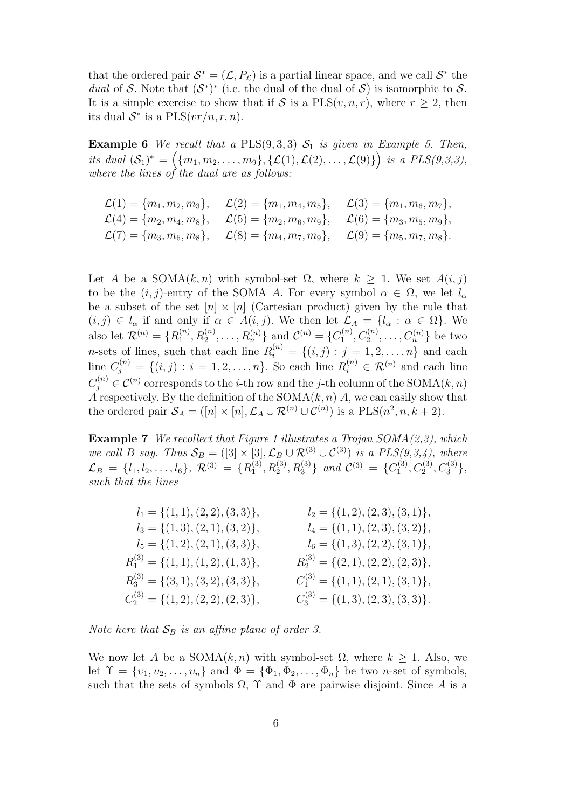that the ordered pair  $S^* = (\mathcal{L}, P_{\mathcal{L}})$  is a partial linear space, and we call  $S^*$  the dual of S. Note that  $(S^*)^*$  (i.e. the dual of the dual of S) is isomorphic to S. It is a simple exercise to show that if S is a  $PLS(v, n, r)$ , where  $r \geq 2$ , then its dual  $S^*$  is a  $PLS(vr/n, r, n)$ .

**Example 6** We recall that a PLS $(9,3,3)$   $S_1$  is given in Example 5. Then, its dual  $(S_1)^* = (\{m_1, m_2, \ldots, m_9\}, \{L(1), L(2), \ldots, L(9)\})$  is a  $PLS(9,3,3),$ where the lines of the dual are as follows:

| $\mathcal{L}(1) = \{m_1, m_2, m_3\}, \quad \mathcal{L}(2) = \{m_1, m_4, m_5\}, \quad \mathcal{L}(3) = \{m_1, m_6, m_7\},\$ |  |
|----------------------------------------------------------------------------------------------------------------------------|--|
| $\mathcal{L}(4) = \{m_2, m_4, m_8\}, \quad \mathcal{L}(5) = \{m_2, m_6, m_9\}, \quad \mathcal{L}(6) = \{m_3, m_5, m_9\},\$ |  |
| $\mathcal{L}(7) = \{m_3, m_6, m_8\}, \quad \mathcal{L}(8) = \{m_4, m_7, m_9\}, \quad \mathcal{L}(9) = \{m_5, m_7, m_8\}.$  |  |

Let A be a  $SOMA(k, n)$  with symbol-set  $\Omega$ , where  $k \geq 1$ . We set  $A(i, j)$ to be the  $(i, j)$ -entry of the SOMA A. For every symbol  $\alpha \in \Omega$ , we let  $l_{\alpha}$ be a subset of the set  $[n] \times [n]$  (Cartesian product) given by the rule that  $(i, j) \in l_{\alpha}$  if and only if  $\alpha \in A(i, j)$ . We then let  $\mathcal{L}_A = \{l_{\alpha} : \alpha \in \Omega\}$ . We also let  $\mathcal{R}^{(n)} = \{R_1^{(n)}\}$  $\mathcal{L}_1^{(n)}, R_2^{(n)}, \ldots, R_n^{(n)}\}$  and  $\mathcal{C}^{(n)} = \{C_1^{(n)}\}$  $C_1^{(n)}, C_2^{(n)}, \ldots, C_n^{(n)}\}$  be two *n*-sets of lines, such that each line  $R_i^{(n)} = \{(i,j) : j = 1, 2, \ldots, n\}$  and each line  $C_j^{(n)} = \{(i, j) : i = 1, 2, ..., n\}$ . So each line  $R_i^{(n)} \in \mathcal{R}^{(n)}$  and each line  $C_j^{(n)} \in \mathcal{C}^{(n)}$  corresponds to the *i*-th row and the *j*-th column of the SOMA $(k, n)$ A respectively. By the definition of the SOMA $(k, n)$  A, we can easily show that the ordered pair  $S_A = ([n] \times [n], \mathcal{L}_A \cup \mathcal{R}^{(n)} \cup \mathcal{C}^{(n)})$  is a  $PLS(n^2, n, k+2)$ .

**Example 7** We recollect that Figure 1 illustrates a Trojan  $SOMA(2,3)$ , which we call B say. Thus  $S_B = ([3] \times [3], \mathcal{L}_B \cup \mathcal{R}^{(3)} \cup \mathcal{C}^{(3)})$  is a  $PLS(9,3,4)$ , where  $\mathcal{L}_B \ = \ \{l_1, l_2, \ldots, l_6\}, \ \mathcal{R}^{(3)} \ = \ \{R^{(3)}_1$  $\{a_1^{(3)}, R_2^{(3)}, R_3^{(3)}\}$  and  $C^{(3)} = \{C_1^{(3)}\}$  $C_1^{(3)}, C_2^{(3)}, C_3^{(3)}\},$ such that the lines

| $l_1 = \{(1,1), (2,2), (3,3)\},\$       | $l_2 = \{(1,2), (2,3), (3,1)\},\$       |
|-----------------------------------------|-----------------------------------------|
| $l_3 = \{(1,3), (2,1), (3,2)\},\$       | $l_4 = \{(1,1), (2,3), (3,2)\},\$       |
| $l_5 = \{(1,2), (2,1), (3,3)\},\$       | $l_6 = \{(1,3), (2,2), (3,1)\},\$       |
| $R_1^{(3)} = \{(1,1), (1,2), (1,3)\},\$ | $R_2^{(3)} = \{(2,1), (2,2), (2,3)\},\$ |
| $R_3^{(3)} = \{(3,1), (3,2), (3,3)\},\$ | $C_1^{(3)} = \{(1,1), (2,1), (3,1)\},\$ |
| $C_2^{(3)} = \{(1,2), (2,2), (2,3)\},\$ | $C_3^{(3)} = \{(1,3), (2,3), (3,3)\}.$  |

Note here that  $S_B$  is an affine plane of order 3.

We now let A be a  $SOMA(k, n)$  with symbol-set  $\Omega$ , where  $k \geq 1$ . Also, we let  $\Upsilon = \{v_1, v_2, \ldots, v_n\}$  and  $\Phi = \{\Phi_1, \Phi_2, \ldots, \Phi_n\}$  be two *n*-set of symbols, such that the sets of symbols  $\Omega$ ,  $\Upsilon$  and  $\Phi$  are pairwise disjoint. Since A is a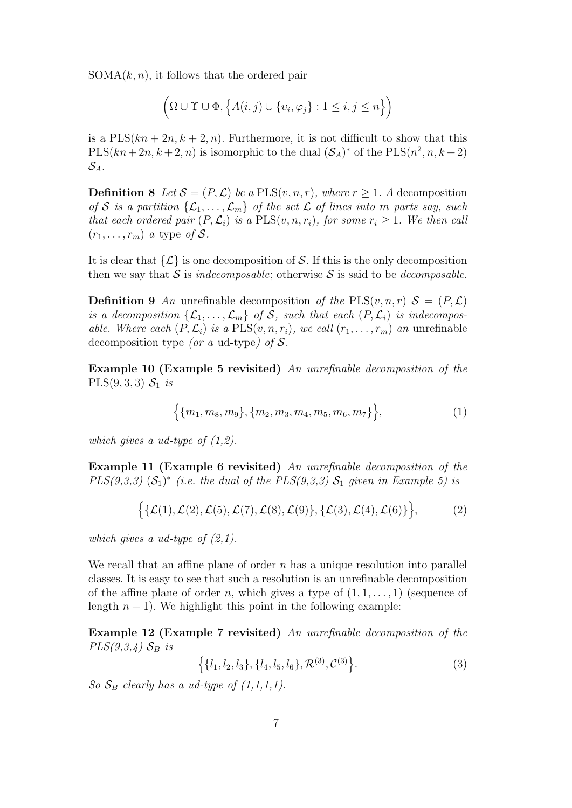$SOMA(k, n)$ , it follows that the ordered pair

$$
\left(\Omega \cup \Upsilon \cup \Phi, \left\{A(i,j) \cup \{v_i, \varphi_j\} : 1 \le i, j \le n\right\}\right)
$$

is a  $PLS(kn + 2n, k + 2, n)$ . Furthermore, it is not difficult to show that this  $PLS(kn+2n, k+2, n)$  is isomorphic to the dual  $(S_A)^*$  of the  $PLS(n^2, n, k+2)$  $\mathcal{S}_A$ .

**Definition 8** Let  $S = (P, \mathcal{L})$  be a PLS $(v, n, r)$ , where  $r \geq 1$ . A decomposition of S is a partition  $\{\mathcal{L}_1, \ldots, \mathcal{L}_m\}$  of the set  $\mathcal L$  of lines into m parts say, such that each ordered pair  $(P, \mathcal{L}_i)$  is a PLS $(v, n, r_i)$ , for some  $r_i \geq 1$ . We then call  $(r_1, \ldots, r_m)$  a type of S.

It is clear that  $\{\mathcal{L}\}\$ is one decomposition of S. If this is the only decomposition then we say that S is indecomposable; otherwise S is said to be decomposable.

**Definition 9** An unrefinable decomposition of the PLS(v, n, r)  $S = (P, \mathcal{L})$ is a decomposition  $\{\mathcal{L}_1, \ldots, \mathcal{L}_m\}$  of S, such that each  $(P, \mathcal{L}_i)$  is indecomposable. Where each  $(P, \mathcal{L}_i)$  is a  $PLS(v, n, r_i)$ , we call  $(r_1, \ldots, r_m)$  an unrefinable decomposition type (or a ud-type) of  $S$ .

Example 10 (Example 5 revisited) An unrefinable decomposition of the  $PLS(9, 3, 3)$   $S_1$  is

$$
\left\{\{m_1, m_8, m_9\}, \{m_2, m_3, m_4, m_5, m_6, m_7\}\right\},\tag{1}
$$

which gives a ud-type of  $(1,2)$ .

Example 11 (Example 6 revisited) An unrefinable decomposition of the  $PLS(9,3,3)$   $(S_1)^*$  (i.e. the dual of the  $PLS(9,3,3)$   $S_1$  given in Example 5) is

$$
\{ \{\mathcal{L}(1), \mathcal{L}(2), \mathcal{L}(5), \mathcal{L}(7), \mathcal{L}(8), \mathcal{L}(9) \}, \{\mathcal{L}(3), \mathcal{L}(4), \mathcal{L}(6) \} \},
$$
 (2)

which gives a ud-type of  $(2,1)$ .

We recall that an affine plane of order  $n$  has a unique resolution into parallel classes. It is easy to see that such a resolution is an unrefinable decomposition of the affine plane of order n, which gives a type of  $(1, 1, \ldots, 1)$  (sequence of length  $n + 1$ ). We highlight this point in the following example:

Example 12 (Example 7 revisited) An unrefinable decomposition of the  $PLS(9,3,4)$   $S_B$  is

$$
\left\{ \{l_1, l_2, l_3\}, \{l_4, l_5, l_6\}, \mathcal{R}^{(3)}, \mathcal{C}^{(3)} \right\}.
$$
 (3)

So  $S_B$  clearly has a ud-type of  $(1,1,1,1)$ .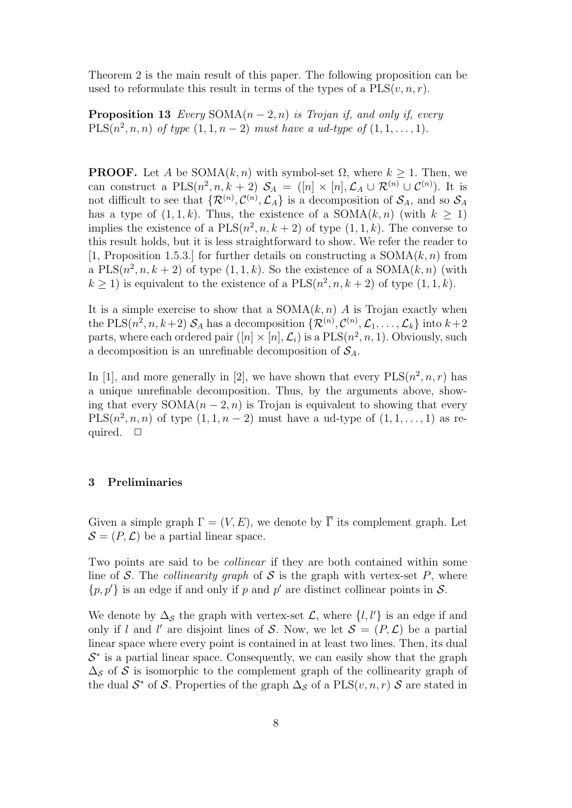Theorem 2 is the main result of this paper. The following proposition can be used to reformulate this result in terms of the types of a  $PLS(v, n, r)$ .

**Proposition 13** Every  $SOMA(n-2, n)$  is Trojan if, and only if, every  $PLS(n^2, n, n)$  of type  $(1, 1, n - 2)$  must have a ud-type of  $(1, 1, ..., 1)$ .

**PROOF.** Let A be  $SOMA(k, n)$  with symbol-set  $\Omega$ , where  $k \geq 1$ . Then, we can construct a  $PLS(n^2, n, k+2)$   $S_A = ([n] \times [n], \mathcal{L}_A \cup \mathcal{R}^{(n)} \cup \mathcal{C}^{(n)}).$  It is not difficult to see that  $\{R^{(n)}, \mathcal{C}^{(n)}, \mathcal{L}_A\}$  is a decomposition of  $\mathcal{S}_A$ , and so  $\mathcal{S}_A$ has a type of  $(1, 1, k)$ . Thus, the existence of a SOMA $(k, n)$  (with  $k \ge 1$ ) implies the existence of a  $PLS(n^2, n, k+2)$  of type  $(1, 1, k)$ . The converse to this result holds, but it is less straightforward to show. We refer the reader to [1, Proposition 1.5.3.] for further details on constructing a  $SOMA(k, n)$  from a PLS $(n^2, n, k+2)$  of type  $(1, 1, k)$ . So the existence of a SOMA $(k, n)$  (with  $k \ge 1$ ) is equivalent to the existence of a  $PLS(n^2, n, k+2)$  of type  $(1, 1, k)$ .

It is a simple exercise to show that a  $SOMA(k, n)$  A is Trojan exactly when the PLS( $n^2, n, k+2$ )  $S_A$  has a decomposition  $\{ \mathcal{R}^{(n)}, \mathcal{C}^{(n)}, \mathcal{L}_1, \ldots, \mathcal{L}_k \}$  into  $k+2$ parts, where each ordered pair  $([n] \times [n], \mathcal{L}_i)$  is a  $\text{PLS}(n^2, n, 1)$ . Obviously, such a decomposition is an unrefinable decomposition of  $S_A$ .

In [1], and more generally in [2], we have shown that every  $PLS(n^2, n, r)$  has a unique unrefinable decomposition. Thus, by the arguments above, showing that every  $SOMA(n-2, n)$  is Trojan is equivalent to showing that every PLS $(n^2, n, n)$  of type  $(1, 1, n-2)$  must have a ud-type of  $(1, 1, \ldots, 1)$  as required.  $\square$ 

## 3 Preliminaries

Given a simple graph  $\Gamma = (V, E)$ , we denote by  $\overline{\Gamma}$  its complement graph. Let  $\mathcal{S} = (P, \mathcal{L})$  be a partial linear space.

Two points are said to be collinear if they are both contained within some line of S. The *collinearity graph* of S is the graph with vertex-set P, where  $\{p, p'\}$  is an edge if and only if p and p' are distinct collinear points in S.

We denote by  $\Delta_{\mathcal{S}}$  the graph with vertex-set  $\mathcal{L}$ , where  $\{l, l'\}$  is an edge if and only if l and l' are disjoint lines of S. Now, we let  $S = (P, \mathcal{L})$  be a partial linear space where every point is contained in at least two lines. Then, its dual  $S^*$  is a partial linear space. Consequently, we can easily show that the graph  $\Delta_{\mathcal{S}}$  of S is isomorphic to the complement graph of the collinearity graph of the dual  $\mathcal{S}^*$  of  $\mathcal{S}$ . Properties of the graph  $\Delta_{\mathcal{S}}$  of a PLS $(v, n, r)$   $\mathcal{S}$  are stated in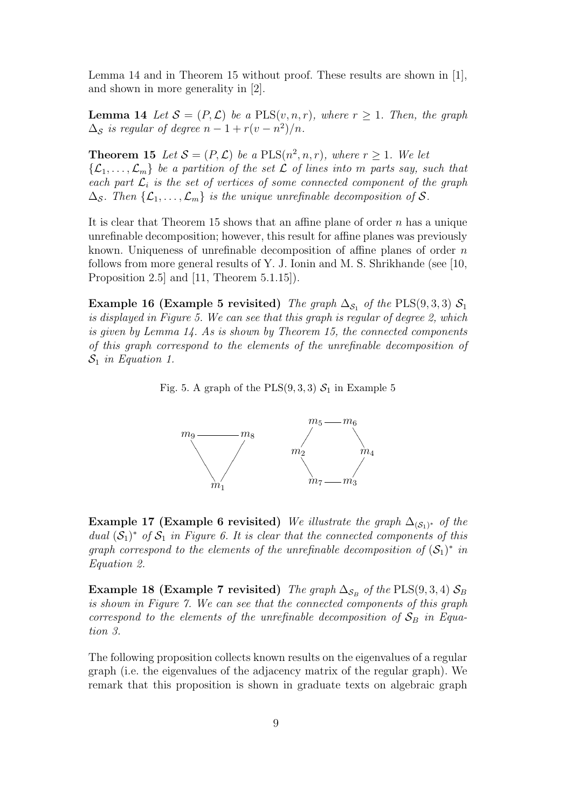Lemma 14 and in Theorem 15 without proof. These results are shown in [1], and shown in more generality in [2].

**Lemma 14** Let  $S = (P, \mathcal{L})$  be a PLS $(v, n, r)$ , where  $r \geq 1$ . Then, the graph  $\Delta_{\mathcal{S}}$  is regular of degree  $n-1+r(v-n^2)/n$ .

**Theorem 15** Let  $S = (P, \mathcal{L})$  be a PLS $(n^2, n, r)$ , where  $r \geq 1$ . We let  $\{\mathcal{L}_1,\ldots,\mathcal{L}_m\}$  be a partition of the set  $\mathcal L$  of lines into m parts say, such that each part  $\mathcal{L}_i$  is the set of vertices of some connected component of the graph  $\Delta_{\mathcal{S}}$ . Then  $\{\mathcal{L}_1,\ldots,\mathcal{L}_m\}$  is the unique unrefinable decomposition of S.

It is clear that Theorem 15 shows that an affine plane of order  $n$  has a unique unrefinable decomposition; however, this result for affine planes was previously known. Uniqueness of unrefinable decomposition of affine planes of order  $n$ follows from more general results of Y. J. Ionin and M. S. Shrikhande (see [10, Proposition 2.5] and [11, Theorem 5.1.15]).

Example 16 (Example 5 revisited) The graph  $\Delta_{\mathcal{S}_1}$  of the PLS(9,3,3)  $\mathcal{S}_1$ is displayed in Figure 5. We can see that this graph is regular of degree 2, which is given by Lemma 14. As is shown by Theorem 15, the connected components of this graph correspond to the elements of the unrefinable decomposition of  $S_1$  in Equation 1.

Fig. 5. A graph of the  $PLS(9, 3, 3)$   $S_1$  in Example 5



**Example 17 (Example 6 revisited)** We illustrate the graph  $\Delta_{(\mathcal{S}_1)^*}$  of the dual  $(S_1)^*$  of  $S_1$  in Figure 6. It is clear that the connected components of this graph correspond to the elements of the unrefinable decomposition of  $(S_1)^*$  in Equation 2.

Example 18 (Example 7 revisited) The graph  $\Delta_{\mathcal{S}_B}$  of the PLS(9,3,4)  $\mathcal{S}_B$ is shown in Figure 7. We can see that the connected components of this graph correspond to the elements of the unrefinable decomposition of  $S_B$  in Equation 3.

The following proposition collects known results on the eigenvalues of a regular graph (i.e. the eigenvalues of the adjacency matrix of the regular graph). We remark that this proposition is shown in graduate texts on algebraic graph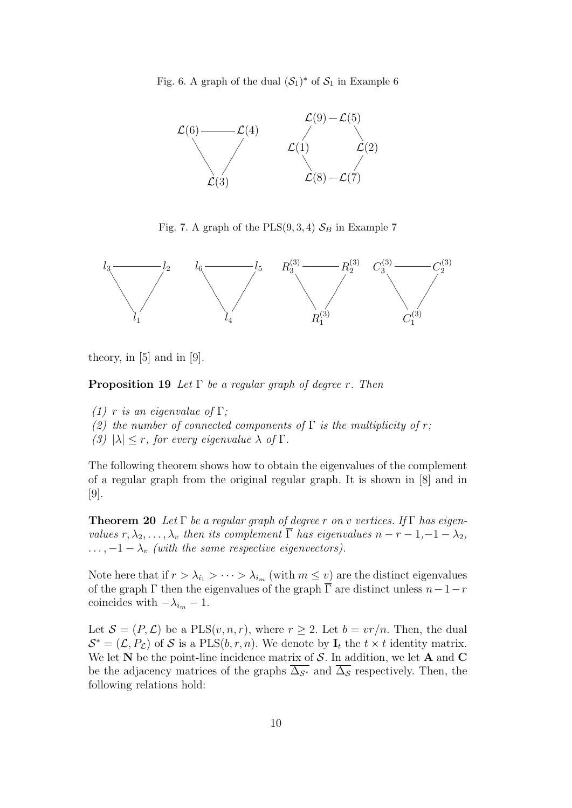Fig. 6. A graph of the dual  $(\mathcal{S}_1)^*$  of  $\mathcal{S}_1$  in Example 6



Fig. 7. A graph of the PLS $(9, 3, 4)$   $\mathcal{S}_B$  in Example 7



theory, in [5] and in [9].

**Proposition 19** Let  $\Gamma$  be a regular graph of degree r. Then

- (1) r is an eigenvalue of  $\Gamma$ ;
- (2) the number of connected components of  $\Gamma$  is the multiplicity of r;
- (3)  $|\lambda| \leq r$ , for every eigenvalue  $\lambda$  of  $\Gamma$ .

The following theorem shows how to obtain the eigenvalues of the complement of a regular graph from the original regular graph. It is shown in [8] and in [9].

**Theorem 20** Let  $\Gamma$  be a regular graph of degree r on v vertices. If  $\Gamma$  has eigenvalues  $r, \lambda_2, \ldots, \lambda_v$  then its complement  $\overline{\Gamma}$  has eigenvalues  $n - r - 1, -1 - \lambda_2$ ,  $\ldots$ ,  $-1 - \lambda_v$  (with the same respective eigenvectors).

Note here that if  $r > \lambda_{i_1} > \cdots > \lambda_{i_m}$  (with  $m \leq v$ ) are the distinct eigenvalues of the graph  $\Gamma$  then the eigenvalues of the graph  $\overline{\Gamma}$  are distinct unless  $n-1-r$ coincides with  $-\lambda_{i_m} - 1$ .

Let  $S = (P, \mathcal{L})$  be a PLS $(v, n, r)$ , where  $r \geq 2$ . Let  $b = v r/n$ . Then, the dual  $\mathcal{S}^* = (\mathcal{L}, P_{\mathcal{L}})$  of S is a PLS $(b, r, n)$ . We denote by  $\mathbf{I}_t$  the  $t \times t$  identity matrix. We let  $N$  be the point-line incidence matrix of  $S$ . In addition, we let  $A$  and  $C$ be the adjacency matrices of the graphs  $\overline{\Delta_{\mathcal{S}^*}}$  and  $\overline{\Delta_{\mathcal{S}}}$  respectively. Then, the following relations hold: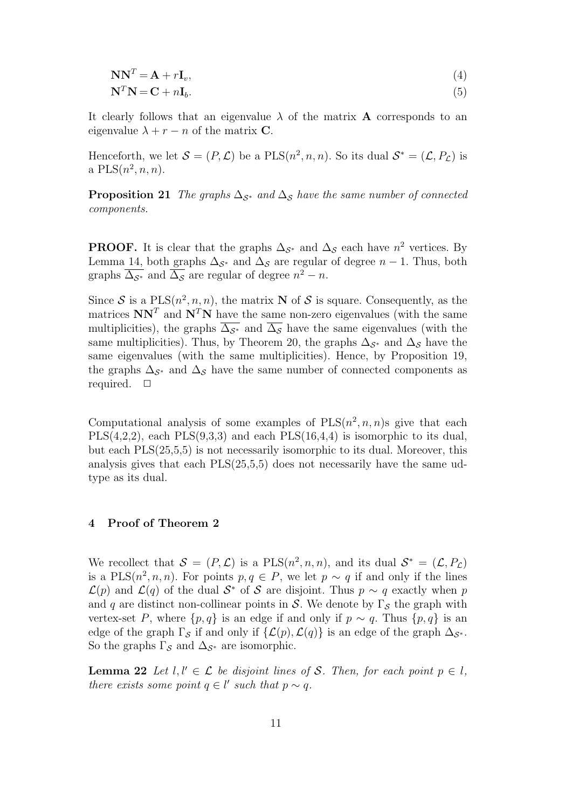$$
NN^T = A + rI_v,
$$
\n<sup>(4)</sup>

$$
\mathbf{N}^T \mathbf{N} = \mathbf{C} + n \mathbf{I}_b. \tag{5}
$$

It clearly follows that an eigenvalue  $\lambda$  of the matrix **A** corresponds to an eigenvalue  $\lambda + r - n$  of the matrix **C**.

Henceforth, we let  $S = (P, \mathcal{L})$  be a  $PLS(n^2, n, n)$ . So its dual  $S^* = (\mathcal{L}, P_{\mathcal{L}})$  is a  $PLS(n^2, n, n)$ .

**Proposition 21** The graphs  $\Delta_{\mathcal{S}^*}$  and  $\Delta_{\mathcal{S}}$  have the same number of connected components.

**PROOF.** It is clear that the graphs  $\Delta_{\mathcal{S}^*}$  and  $\Delta_{\mathcal{S}}$  each have  $n^2$  vertices. By Lemma 14, both graphs  $\Delta_{\mathcal{S}^*}$  and  $\Delta_{\mathcal{S}}$  are regular of degree  $n-1$ . Thus, both graphs  $\overline{\Delta_{\mathcal{S}^*}}$  and  $\overline{\Delta_{\mathcal{S}}}$  are regular of degree  $n^2 - n$ .

Since S is a  $PLS(n^2, n, n)$ , the matrix N of S is square. Consequently, as the matrices  $NN<sup>T</sup>$  and  $N<sup>T</sup>N$  have the same non-zero eigenvalues (with the same multiplicities), the graphs  $\overline{\Delta_{\mathcal{S}^*}}$  and  $\overline{\Delta_{\mathcal{S}}}$  have the same eigenvalues (with the same multiplicities). Thus, by Theorem 20, the graphs  $\Delta_{\mathcal{S}^*}$  and  $\Delta_{\mathcal{S}}$  have the same eigenvalues (with the same multiplicities). Hence, by Proposition 19, the graphs  $\Delta_{\mathcal{S}^*}$  and  $\Delta_{\mathcal{S}}$  have the same number of connected components as required.  $\Box$ 

Computational analysis of some examples of  $PLS(n^2, n, n)$ s give that each  $PLS(4,2,2)$ , each  $PLS(9,3,3)$  and each  $PLS(16,4,4)$  is isomorphic to its dual, but each PLS(25,5,5) is not necessarily isomorphic to its dual. Moreover, this analysis gives that each PLS(25,5,5) does not necessarily have the same udtype as its dual.

## 4 Proof of Theorem 2

We recollect that  $S = (P, \mathcal{L})$  is a  $PLS(n^2, n, n)$ , and its dual  $S^* = (\mathcal{L}, P_{\mathcal{L}})$ is a PLS $(n^2, n, n)$ . For points  $p, q \in P$ , we let  $p \sim q$  if and only if the lines  $\mathcal{L}(p)$  and  $\mathcal{L}(q)$  of the dual  $\mathcal{S}^*$  of S are disjoint. Thus  $p \sim q$  exactly when p and q are distinct non-collinear points in S. We denote by  $\Gamma_{\mathcal{S}}$  the graph with vertex-set P, where  $\{p, q\}$  is an edge if and only if  $p \sim q$ . Thus  $\{p, q\}$  is an edge of the graph  $\Gamma_{\mathcal{S}}$  if and only if  $\{\mathcal{L}(p),\mathcal{L}(q)\}\$ is an edge of the graph  $\Delta_{\mathcal{S}^*}$ . So the graphs  $\Gamma_{\mathcal{S}}$  and  $\Delta_{\mathcal{S}^*}$  are isomorphic.

**Lemma 22** Let l,  $l' \in \mathcal{L}$  be disjoint lines of S. Then, for each point  $p \in l$ , there exists some point  $q \in l'$  such that  $p \sim q$ .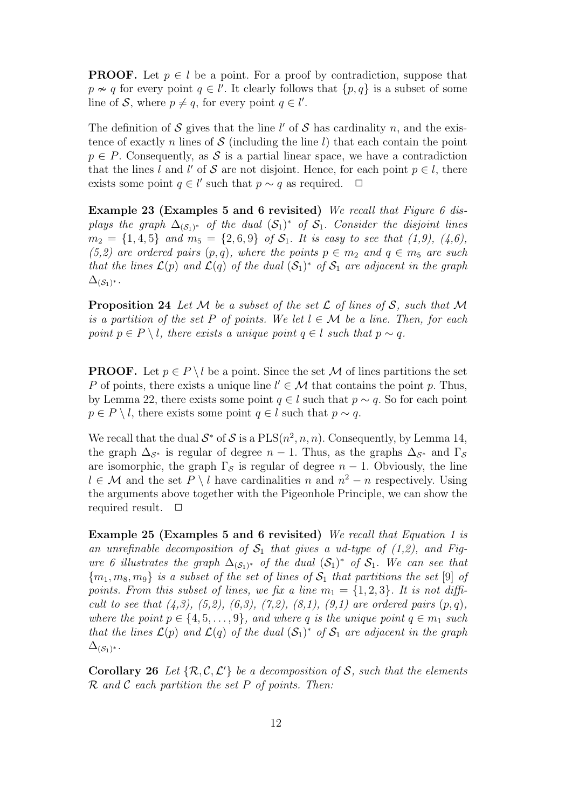**PROOF.** Let  $p \in l$  be a point. For a proof by contradiction, suppose that  $p \nsim q$  for every point  $q \in l'$ . It clearly follows that  $\{p, q\}$  is a subset of some line of S, where  $p \neq q$ , for every point  $q \in l'$ .

The definition of S gives that the line  $l'$  of S has cardinality n, and the existence of exactly n lines of  $S$  (including the line l) that each contain the point  $p \in P$ . Consequently, as S is a partial linear space, we have a contradiction that the lines l and l' of S are not disjoint. Hence, for each point  $p \in l$ , there exists some point  $q \in l'$  such that  $p \sim q$  as required.  $\Box$ 

Example 23 (Examples 5 and 6 revisited) We recall that Figure 6 displays the graph  $\Delta_{(\mathcal{S}_1)^*}$  of the dual  $(\mathcal{S}_1)^*$  of  $\mathcal{S}_1$ . Consider the disjoint lines  $m_2 = \{1,4,5\}$  and  $m_5 = \{2,6,9\}$  of  $S_1$ . It is easy to see that  $(1,9)$ ,  $(4,6)$ , (5,2) are ordered pairs  $(p, q)$ , where the points  $p \in m_2$  and  $q \in m_5$  are such that the lines  $\mathcal{L}(p)$  and  $\mathcal{L}(q)$  of the dual  $(\mathcal{S}_1)^*$  of  $\mathcal{S}_1$  are adjacent in the graph  $\Delta_{(\mathcal{S}_1)^*}.$ 

**Proposition 24** Let M be a subset of the set L of lines of S, such that M is a partition of the set P of points. We let  $l \in \mathcal{M}$  be a line. Then, for each point  $p \in P \setminus l$ , there exists a unique point  $q \in l$  such that  $p \sim q$ .

**PROOF.** Let  $p \in P \setminus l$  be a point. Since the set M of lines partitions the set P of points, there exists a unique line  $l' \in \mathcal{M}$  that contains the point p. Thus, by Lemma 22, there exists some point  $q \in l$  such that  $p \sim q$ . So for each point  $p \in P \setminus l$ , there exists some point  $q \in l$  such that  $p \sim q$ .

We recall that the dual  $S^*$  of S is a  $PLS(n^2, n, n)$ . Consequently, by Lemma 14, the graph  $\Delta_{\mathcal{S}^*}$  is regular of degree  $n-1$ . Thus, as the graphs  $\Delta_{\mathcal{S}^*}$  and  $\Gamma_{\mathcal{S}}$ are isomorphic, the graph  $\Gamma_{\mathcal{S}}$  is regular of degree  $n-1$ . Obviously, the line  $l \in \mathcal{M}$  and the set  $P \setminus l$  have cardinalities n and  $n^2 - n$  respectively. Using the arguments above together with the Pigeonhole Principle, we can show the required result.  $\Box$ 

Example 25 (Examples 5 and 6 revisited) We recall that Equation 1 is an unrefinable decomposition of  $S_1$  that gives a ud-type of (1,2), and Figure 6 illustrates the graph  $\Delta_{(\mathcal{S}_1)^*}$  of the dual  $(\mathcal{S}_1)^*$  of  $\mathcal{S}_1$ . We can see that  ${m_1, m_8, m_9}$  is a subset of the set of lines of  $S_1$  that partitions the set [9] of points. From this subset of lines, we fix a line  $m_1 = \{1, 2, 3\}$ . It is not difficult to see that  $(4,3)$ ,  $(5,2)$ ,  $(6,3)$ ,  $(7,2)$ ,  $(8,1)$ ,  $(9,1)$  are ordered pairs  $(p,q)$ , where the point  $p \in \{4, 5, \ldots, 9\}$ , and where q is the unique point  $q \in m_1$  such that the lines  $\mathcal{L}(p)$  and  $\mathcal{L}(q)$  of the dual  $(\mathcal{S}_1)^*$  of  $\mathcal{S}_1$  are adjacent in the graph  $\Delta_{(\mathcal{S}_1)^*}.$ 

**Corollary 26** Let  $\{\mathcal{R}, \mathcal{C}, \mathcal{L}'\}$  be a decomposition of S, such that the elements  $\mathcal R$  and  $\mathcal C$  each partition the set P of points. Then: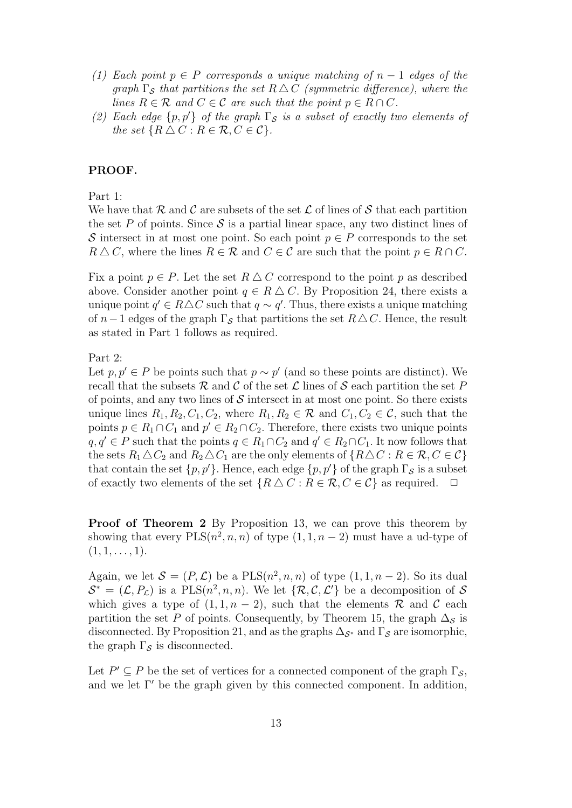- (1) Each point  $p \in P$  corresponds a unique matching of  $n-1$  edges of the graph  $\Gamma_{\mathcal{S}}$  that partitions the set  $R \Delta C$  (symmetric difference), where the lines  $R \in \mathcal{R}$  and  $C \in \mathcal{C}$  are such that the point  $p \in R \cap C$ .
- (2) Each edge  $\{p, p'\}$  of the graph  $\Gamma_{\mathcal{S}}$  is a subset of exactly two elements of the set  $\{R \triangle C : R \in \mathcal{R}, C \in \mathcal{C}\}.$

## PROOF.

Part 1:

We have that R and C are subsets of the set  $\mathcal L$  of lines of S that each partition the set P of points. Since S is a partial linear space, any two distinct lines of S intersect in at most one point. So each point  $p \in P$  corresponds to the set  $R \triangle C$ , where the lines  $R \in \mathcal{R}$  and  $C \in \mathcal{C}$  are such that the point  $p \in R \cap C$ .

Fix a point  $p \in P$ . Let the set  $R \triangle C$  correspond to the point p as described above. Consider another point  $q \in R \triangle C$ . By Proposition 24, there exists a unique point  $q' \in R \triangle C$  such that  $q \sim q'$ . Thus, there exists a unique matching of  $n-1$  edges of the graph  $\Gamma_{\mathcal{S}}$  that partitions the set  $R\Delta C$ . Hence, the result as stated in Part 1 follows as required.

Part 2:

Let  $p, p' \in P$  be points such that  $p \sim p'$  (and so these points are distinct). We recall that the subsets R and C of the set L lines of S each partition the set P of points, and any two lines of  $\mathcal S$  intersect in at most one point. So there exists unique lines  $R_1, R_2, C_1, C_2$ , where  $R_1, R_2 \in \mathcal{R}$  and  $C_1, C_2 \in \mathcal{C}$ , such that the points  $p \in R_1 \cap C_1$  and  $p' \in R_2 \cap C_2$ . Therefore, there exists two unique points  $q, q' \in P$  such that the points  $q \in R_1 \cap C_2$  and  $q' \in R_2 \cap C_1$ . It now follows that the sets  $R_1 \Delta C_2$  and  $R_2 \Delta C_1$  are the only elements of  $\{R \Delta C : R \in \mathcal{R}, C \in \mathcal{C}\}\$ that contain the set  $\{p, p'\}$ . Hence, each edge  $\{p, p'\}$  of the graph  $\Gamma_{\mathcal{S}}$  is a subset of exactly two elements of the set  $\{R \Delta C : R \in \mathcal{R}, C \in \mathcal{C}\}\$ as required.  $\Box$ 

Proof of Theorem 2 By Proposition 13, we can prove this theorem by showing that every  $PLS(n^2, n, n)$  of type  $(1, 1, n-2)$  must have a ud-type of  $(1, 1, \ldots, 1).$ 

Again, we let  $\mathcal{S} = (P, \mathcal{L})$  be a  $PLS(n^2, n, n)$  of type  $(1, 1, n-2)$ . So its dual  $\mathcal{S}^* = (\mathcal{L}, P_{\mathcal{L}})$  is a PLS $(n^2, n, n)$ . We let  $\{\mathcal{R}, \mathcal{C}, \mathcal{L}'\}$  be a decomposition of  $\mathcal{S}$ which gives a type of  $(1, 1, n - 2)$ , such that the elements R and C each partition the set P of points. Consequently, by Theorem 15, the graph  $\Delta_S$  is disconnected. By Proposition 21, and as the graphs  $\Delta_{\mathcal{S}^*}$  and  $\Gamma_{\mathcal{S}}$  are isomorphic, the graph  $\Gamma_{\mathcal{S}}$  is disconnected.

Let  $P' \subseteq P$  be the set of vertices for a connected component of the graph  $\Gamma_{\mathcal{S}}$ , and we let  $\Gamma'$  be the graph given by this connected component. In addition,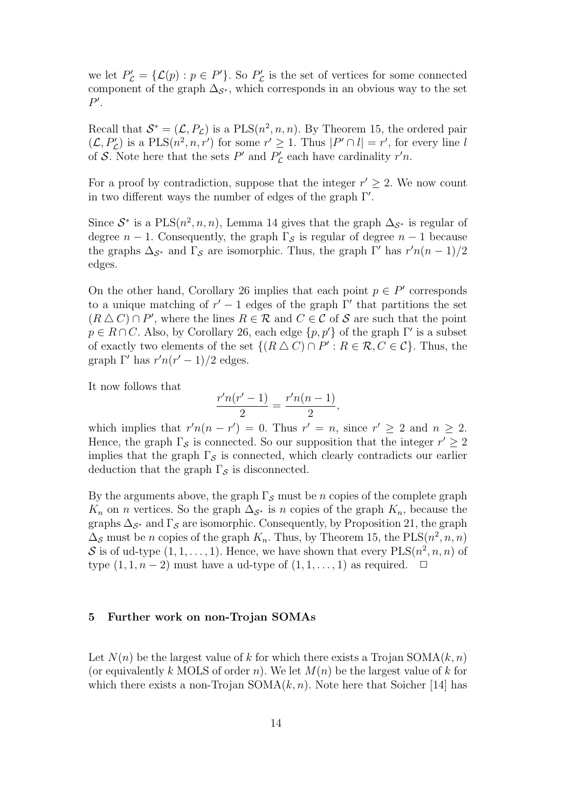we let  $P'_{\mathcal{L}} = {\{\mathcal{L}(p) : p \in P'\}}$ . So  $P'_{\mathcal{L}}$  is the set of vertices for some connected component of the graph  $\Delta_{\mathcal{S}^*}$ , which corresponds in an obvious way to the set  $P'.$ 

Recall that  $S^* = (\mathcal{L}, P_{\mathcal{L}})$  is a PLS $(n^2, n, n)$ . By Theorem 15, the ordered pair  $(\mathcal{L}, P'_{\mathcal{L}})$  is a PLS $(n^2, n, r')$  for some  $r' \geq 1$ . Thus  $|P' \cap l| = r'$ , for every line l of S. Note here that the sets  $P'$  and  $P'_{\mathcal{L}}$  each have cardinality  $r'n$ .

For a proof by contradiction, suppose that the integer  $r' \geq 2$ . We now count in two different ways the number of edges of the graph  $\Gamma'$ .

Since  $S^*$  is a PLS $(n^2, n, n)$ , Lemma 14 gives that the graph  $\Delta_{S^*}$  is regular of degree  $n-1$ . Consequently, the graph  $\Gamma_{\mathcal{S}}$  is regular of degree  $n-1$  because the graphs  $\Delta_{\mathcal{S}^*}$  and  $\Gamma_{\mathcal{S}}$  are isomorphic. Thus, the graph  $\Gamma'$  has  $r'n(n-1)/2$ edges.

On the other hand, Corollary 26 implies that each point  $p \in P'$  corresponds to a unique matching of  $r' - 1$  edges of the graph  $\Gamma'$  that partitions the set  $(R \triangle C) \cap P'$ , where the lines  $R \in \mathcal{R}$  and  $C \in \mathcal{C}$  of S are such that the point  $p \in R \cap C$ . Also, by Corollary 26, each edge  $\{p, p'\}$  of the graph  $\Gamma'$  is a subset of exactly two elements of the set  $\{(R \triangle C) \cap P': R \in \mathcal{R}, C \in \mathcal{C}\}\)$ . Thus, the graph  $\Gamma'$  has  $r'n(r'-1)/2$  edges.

It now follows that

$$
\frac{r'n(r'-1)}{2} = \frac{r'n(n-1)}{2},
$$

which implies that  $r'n(n - r') = 0$ . Thus  $r' = n$ , since  $r' \geq 2$  and  $n \geq 2$ . Hence, the graph  $\Gamma_{\mathcal{S}}$  is connected. So our supposition that the integer  $r' \geq 2$ implies that the graph  $\Gamma_{\mathcal{S}}$  is connected, which clearly contradicts our earlier deduction that the graph  $\Gamma_{\mathcal{S}}$  is disconnected.

By the arguments above, the graph  $\Gamma_{\mathcal{S}}$  must be n copies of the complete graph  $K_n$  on *n* vertices. So the graph  $\Delta_{\mathcal{S}^*}$  is *n* copies of the graph  $K_n$ , because the graphs  $\Delta_{\mathcal{S}^*}$  and  $\Gamma_{\mathcal{S}}$  are isomorphic. Consequently, by Proposition 21, the graph  $\Delta_{\mathcal{S}}$  must be *n* copies of the graph  $K_n$ . Thus, by Theorem 15, the PLS $(n^2, n, n)$ S is of ud-type  $(1, 1, \ldots, 1)$ . Hence, we have shown that every  $PLS(n^2, n, n)$  of type  $(1, 1, n-2)$  must have a ud-type of  $(1, 1, \ldots, 1)$  as required.  $\Box$ 

## 5 Further work on non-Trojan SOMAs

Let  $N(n)$  be the largest value of k for which there exists a Trojan SOMA $(k, n)$ (or equivalently k MOLS of order n). We let  $M(n)$  be the largest value of k for which there exists a non-Trojan  $SOMA(k, n)$ . Note here that Soicher [14] has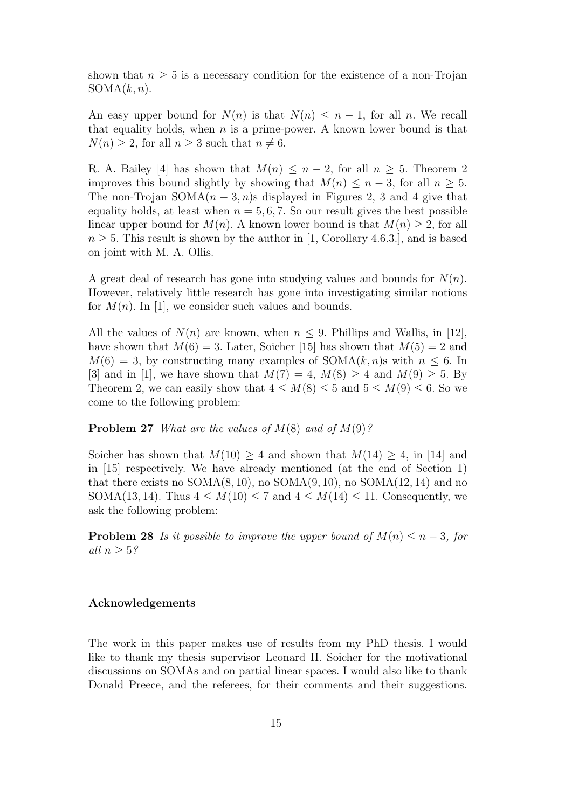shown that  $n \geq 5$  is a necessary condition for the existence of a non-Trojan  $SOMA(k, n).$ 

An easy upper bound for  $N(n)$  is that  $N(n) \leq n-1$ , for all n. We recall that equality holds, when  $n$  is a prime-power. A known lower bound is that  $N(n) \geq 2$ , for all  $n \geq 3$  such that  $n \neq 6$ .

R. A. Bailey [4] has shown that  $M(n) \leq n-2$ , for all  $n \geq 5$ . Theorem 2 improves this bound slightly by showing that  $M(n) \leq n-3$ , for all  $n \geq 5$ . The non-Trojan SOMA $(n-3, n)$ s displayed in Figures 2, 3 and 4 give that equality holds, at least when  $n = 5, 6, 7$ . So our result gives the best possible linear upper bound for  $M(n)$ . A known lower bound is that  $M(n) \geq 2$ , for all  $n \geq 5$ . This result is shown by the author in [1, Corollary 4.6.3.], and is based on joint with M. A. Ollis.

A great deal of research has gone into studying values and bounds for  $N(n)$ . However, relatively little research has gone into investigating similar notions for  $M(n)$ . In [1], we consider such values and bounds.

All the values of  $N(n)$  are known, when  $n \leq 9$ . Phillips and Wallis, in [12], have shown that  $M(6) = 3$ . Later, Soicher [15] has shown that  $M(5) = 2$  and  $M(6) = 3$ , by constructing many examples of SOMA $(k, n)$ s with  $n \leq 6$ . In [3] and in [1], we have shown that  $M(7) = 4$ ,  $M(8) \ge 4$  and  $M(9) \ge 5$ . By Theorem 2, we can easily show that  $4 \leq M(8) \leq 5$  and  $5 \leq M(9) \leq 6$ . So we come to the following problem:

**Problem 27** What are the values of  $M(8)$  and of  $M(9)$ ?

Soicher has shown that  $M(10) \geq 4$  and shown that  $M(14) \geq 4$ , in [14] and in [15] respectively. We have already mentioned (at the end of Section 1) that there exists no  $SOMA(8, 10)$ , no  $SOMA(9, 10)$ , no  $SOMA(12, 14)$  and no SOMA(13, 14). Thus  $4 \leq M(10) \leq 7$  and  $4 \leq M(14) \leq 11$ . Consequently, we ask the following problem:

**Problem 28** Is it possible to improve the upper bound of  $M(n) \leq n-3$ , for all  $n \geq 5$ ?

## Acknowledgements

The work in this paper makes use of results from my PhD thesis. I would like to thank my thesis supervisor Leonard H. Soicher for the motivational discussions on SOMAs and on partial linear spaces. I would also like to thank Donald Preece, and the referees, for their comments and their suggestions.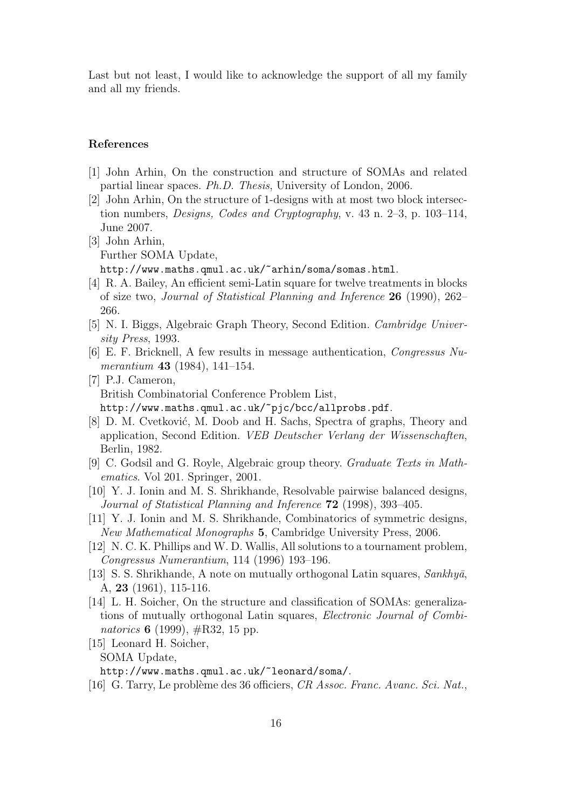Last but not least, I would like to acknowledge the support of all my family and all my friends.

## References

- [1] John Arhin, On the construction and structure of SOMAs and related partial linear spaces. Ph.D. Thesis, University of London, 2006.
- [2] John Arhin, On the structure of 1-designs with at most two block intersection numbers, Designs, Codes and Cryptography, v. 43 n. 2–3, p. 103–114, June 2007.
- [3] John Arhin, Further SOMA Update, http://www.maths.qmul.ac.uk/~arhin/soma/somas.html.
- [4] R. A. Bailey, An efficient semi-Latin square for twelve treatments in blocks of size two, Journal of Statistical Planning and Inference 26 (1990), 262– 266.
- [5] N. I. Biggs, Algebraic Graph Theory, Second Edition. Cambridge University Press, 1993.
- [6] E. F. Bricknell, A few results in message authentication, Congressus Numerantium 43 (1984), 141–154.
- [7] P.J. Cameron, British Combinatorial Conference Problem List, http://www.maths.qmul.ac.uk/~pjc/bcc/allprobs.pdf.
- [8] D. M. Cvetković, M. Doob and H. Sachs, Spectra of graphs, Theory and application, Second Edition. VEB Deutscher Verlang der Wissenschaften, Berlin, 1982.
- [9] C. Godsil and G. Royle, Algebraic group theory. Graduate Texts in Mathematics. Vol 201. Springer, 2001.
- [10] Y. J. Ionin and M. S. Shrikhande, Resolvable pairwise balanced designs, Journal of Statistical Planning and Inference 72 (1998), 393–405.
- [11] Y. J. Ionin and M. S. Shrikhande, Combinatorics of symmetric designs, New Mathematical Monographs 5, Cambridge University Press, 2006.
- [12] N. C. K. Phillips and W. D. Wallis, All solutions to a tournament problem, Congressus Numerantium, 114 (1996) 193–196.
- [13] S. S. Shrikhande, A note on mutually orthogonal Latin squares,  $Sankhy\bar{a}$ , A, 23 (1961), 115-116.
- [14] L. H. Soicher, On the structure and classification of SOMAs: generalizations of mutually orthogonal Latin squares, Electronic Journal of Combinatorics 6 (1999),  $\#\text{R}32$ , 15 pp.
- [15] Leonard H. Soicher, SOMA Update, http://www.maths.qmul.ac.uk/~leonard/soma/.
- [16] G. Tarry, Le problème des 36 officiers, CR Assoc. Franc. Avanc. Sci. Nat.,